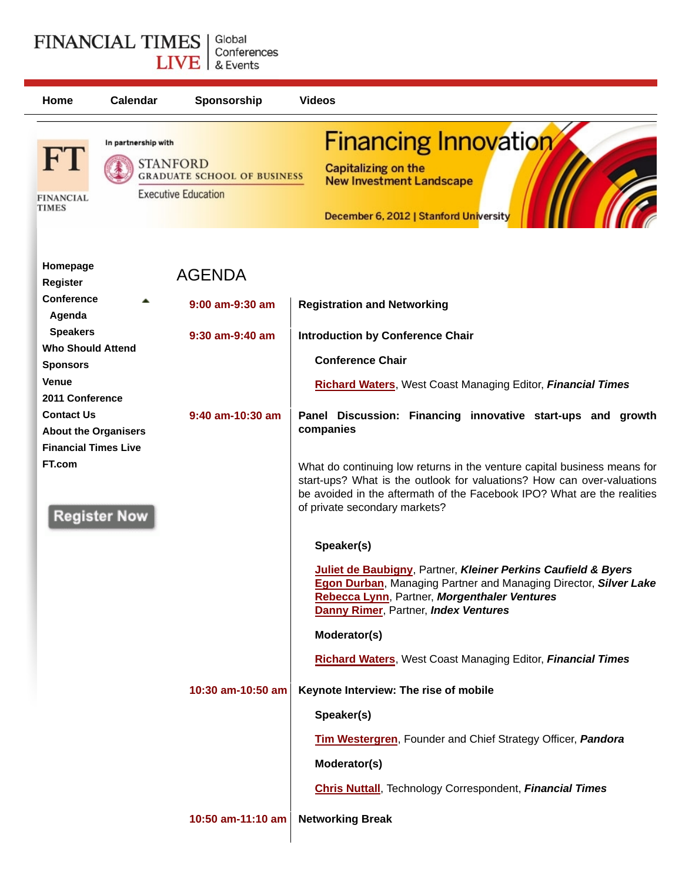## **FINANCIAL TIMES** Global LIVE & Events **Home Calendar Sponsorship Videos**

| <b>FINANCIAL</b><br><b>TIMES</b>                             | In partnership with | <b>STANFORD</b><br><b>GRADUATE SCHOOL OF BUSINESS</b><br><b>Executive Education</b> | <b>Financing Innovation</b><br>Capitalizing on the<br><b>New Investment Landscape</b><br>December 6, 2012   Stanford University                                                                                                                                |
|--------------------------------------------------------------|---------------------|-------------------------------------------------------------------------------------|----------------------------------------------------------------------------------------------------------------------------------------------------------------------------------------------------------------------------------------------------------------|
| Homepage<br>Register                                         |                     | <b>AGENDA</b>                                                                       |                                                                                                                                                                                                                                                                |
| <b>Conference</b><br>Agenda                                  |                     | 9:00 am-9:30 am                                                                     | <b>Registration and Networking</b>                                                                                                                                                                                                                             |
| <b>Speakers</b><br><b>Who Should Attend</b>                  |                     | $9:30$ am-9:40 am                                                                   | <b>Introduction by Conference Chair</b>                                                                                                                                                                                                                        |
| <b>Sponsors</b>                                              |                     |                                                                                     | <b>Conference Chair</b>                                                                                                                                                                                                                                        |
| Venue<br>2011 Conference                                     |                     |                                                                                     | <b>Richard Waters, West Coast Managing Editor, Financial Times</b>                                                                                                                                                                                             |
| <b>Contact Us</b><br><b>About the Organisers</b>             |                     | 9:40 am-10:30 am                                                                    | Panel Discussion: Financing innovative start-ups and growth<br>companies                                                                                                                                                                                       |
| <b>Financial Times Live</b><br>FT.com<br><b>Register Now</b> |                     |                                                                                     | What do continuing low returns in the venture capital business means for<br>start-ups? What is the outlook for valuations? How can over-valuations<br>be avoided in the aftermath of the Facebook IPO? What are the realities<br>of private secondary markets? |
|                                                              |                     |                                                                                     | Speaker(s)                                                                                                                                                                                                                                                     |
|                                                              |                     |                                                                                     | Juliet de Baubigny, Partner, Kleiner Perkins Caufield & Byers<br>Egon Durban, Managing Partner and Managing Director, Silver Lake<br>Rebecca Lynn, Partner, Morgenthaler Ventures<br><b>Danny Rimer, Partner, Index Ventures</b>                               |
|                                                              |                     |                                                                                     | Moderator(s)                                                                                                                                                                                                                                                   |
|                                                              |                     |                                                                                     | <b>Richard Waters, West Coast Managing Editor, Financial Times</b>                                                                                                                                                                                             |
|                                                              |                     | 10:30 am-10:50 am                                                                   | Keynote Interview: The rise of mobile                                                                                                                                                                                                                          |
|                                                              |                     |                                                                                     | Speaker(s)                                                                                                                                                                                                                                                     |
|                                                              |                     |                                                                                     | Tim Westergren, Founder and Chief Strategy Officer, Pandora                                                                                                                                                                                                    |

**Moderator(s)**

**Chris Nuttall**, Technology Correspondent, *Financial Times*

**10:50 am-11:10 am Networking Break**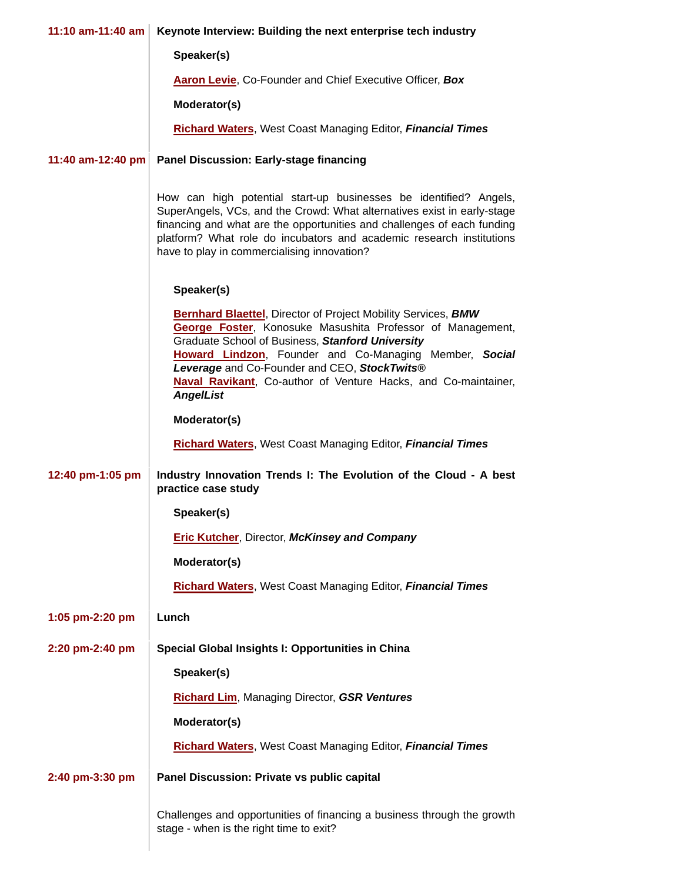| 11:10 am-11:40 am | Keynote Interview: Building the next enterprise tech industry                                                                                                                                                                                                                                                                                                                          |  |
|-------------------|----------------------------------------------------------------------------------------------------------------------------------------------------------------------------------------------------------------------------------------------------------------------------------------------------------------------------------------------------------------------------------------|--|
|                   | Speaker(s)                                                                                                                                                                                                                                                                                                                                                                             |  |
|                   | Aaron Levie, Co-Founder and Chief Executive Officer, Box                                                                                                                                                                                                                                                                                                                               |  |
|                   | Moderator(s)                                                                                                                                                                                                                                                                                                                                                                           |  |
|                   | <b>Richard Waters, West Coast Managing Editor, Financial Times</b>                                                                                                                                                                                                                                                                                                                     |  |
| 11:40 am-12:40 pm | <b>Panel Discussion: Early-stage financing</b>                                                                                                                                                                                                                                                                                                                                         |  |
|                   | How can high potential start-up businesses be identified? Angels,<br>SuperAngels, VCs, and the Crowd: What alternatives exist in early-stage<br>financing and what are the opportunities and challenges of each funding<br>platform? What role do incubators and academic research institutions<br>have to play in commercialising innovation?                                         |  |
|                   | Speaker(s)                                                                                                                                                                                                                                                                                                                                                                             |  |
|                   | <b>Bernhard Blaettel, Director of Project Mobility Services, BMW</b><br>George Foster, Konosuke Masushita Professor of Management,<br>Graduate School of Business, Stanford University<br>Howard Lindzon, Founder and Co-Managing Member, Social<br>Leverage and Co-Founder and CEO, StockTwits®<br>Naval Ravikant, Co-author of Venture Hacks, and Co-maintainer,<br><b>AngelList</b> |  |
|                   | Moderator(s)                                                                                                                                                                                                                                                                                                                                                                           |  |
|                   | <b>Richard Waters, West Coast Managing Editor, Financial Times</b>                                                                                                                                                                                                                                                                                                                     |  |
| 12:40 pm-1:05 pm  | Industry Innovation Trends I: The Evolution of the Cloud - A best<br>practice case study                                                                                                                                                                                                                                                                                               |  |
|                   | Speaker(s)                                                                                                                                                                                                                                                                                                                                                                             |  |
|                   | <b>Eric Kutcher, Director, McKinsey and Company</b>                                                                                                                                                                                                                                                                                                                                    |  |
|                   | Moderator(s)                                                                                                                                                                                                                                                                                                                                                                           |  |
|                   | <b>Richard Waters, West Coast Managing Editor, Financial Times</b>                                                                                                                                                                                                                                                                                                                     |  |
| 1:05 pm-2:20 pm   | Lunch                                                                                                                                                                                                                                                                                                                                                                                  |  |
| 2:20 pm-2:40 pm   | Special Global Insights I: Opportunities in China                                                                                                                                                                                                                                                                                                                                      |  |
|                   | Speaker(s)                                                                                                                                                                                                                                                                                                                                                                             |  |
|                   | <b>Richard Lim, Managing Director, GSR Ventures</b>                                                                                                                                                                                                                                                                                                                                    |  |
|                   | Moderator(s)                                                                                                                                                                                                                                                                                                                                                                           |  |
|                   | Richard Waters, West Coast Managing Editor, Financial Times                                                                                                                                                                                                                                                                                                                            |  |
| 2:40 pm-3:30 pm   | Panel Discussion: Private vs public capital                                                                                                                                                                                                                                                                                                                                            |  |
|                   | Challenges and opportunities of financing a business through the growth<br>stage - when is the right time to exit?                                                                                                                                                                                                                                                                     |  |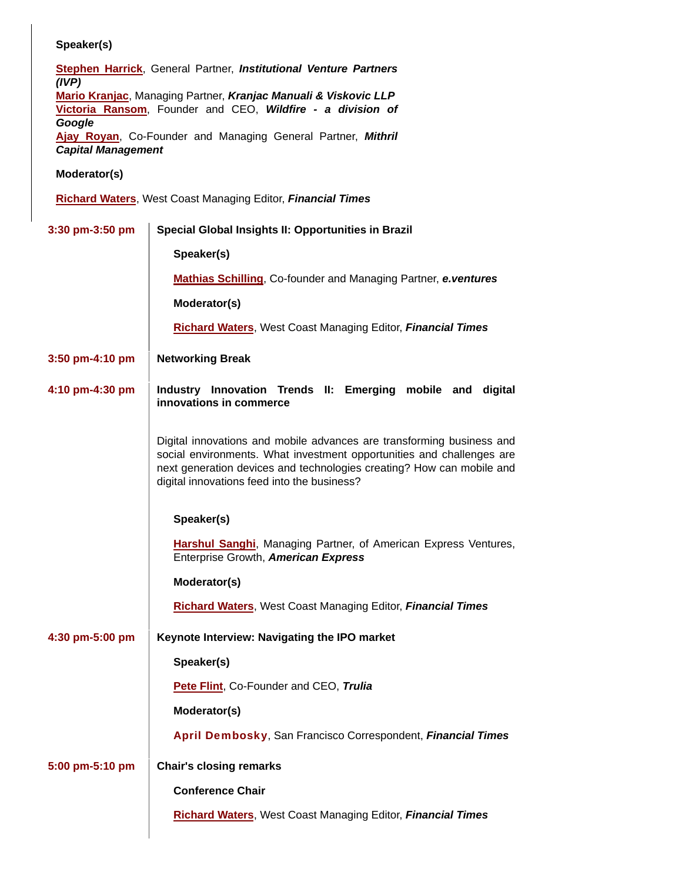## **Speaker(s)**

**Stephen Harrick**, General Partner, *Institutional Venture Partners (IVP)* **Mario Kranjac**, Managing Partner, *Kranjac Manuali & Viskovic LLP* **Victoria Ransom**, Founder and CEO, *Wildfire - a division of Google* **Ajay Royan**, Co-Founder and Managing General Partner, *Mithril Capital Management*

## **Moderator(s)**

**Richard Waters**, West Coast Managing Editor, *Financial Times*

| 3:30 pm-3:50 pm                                   | Special Global Insights II: Opportunities in Brazil                                                                                                                                                                                                                    |  |  |  |
|---------------------------------------------------|------------------------------------------------------------------------------------------------------------------------------------------------------------------------------------------------------------------------------------------------------------------------|--|--|--|
|                                                   | Speaker(s)                                                                                                                                                                                                                                                             |  |  |  |
|                                                   | <b>Mathias Schilling, Co-founder and Managing Partner, e.ventures</b>                                                                                                                                                                                                  |  |  |  |
|                                                   | Moderator(s)                                                                                                                                                                                                                                                           |  |  |  |
|                                                   | <b>Richard Waters, West Coast Managing Editor, Financial Times</b>                                                                                                                                                                                                     |  |  |  |
| 3:50 pm-4:10 pm                                   | <b>Networking Break</b>                                                                                                                                                                                                                                                |  |  |  |
| 4:10 pm-4:30 pm                                   | Industry Innovation Trends II: Emerging mobile and digital<br>innovations in commerce                                                                                                                                                                                  |  |  |  |
|                                                   | Digital innovations and mobile advances are transforming business and<br>social environments. What investment opportunities and challenges are<br>next generation devices and technologies creating? How can mobile and<br>digital innovations feed into the business? |  |  |  |
|                                                   | Speaker(s)                                                                                                                                                                                                                                                             |  |  |  |
|                                                   | <b>Harshul Sanghi</b> , Managing Partner, of American Express Ventures,<br>Enterprise Growth, American Express                                                                                                                                                         |  |  |  |
|                                                   | Moderator(s)                                                                                                                                                                                                                                                           |  |  |  |
|                                                   | <b>Richard Waters, West Coast Managing Editor, Financial Times</b>                                                                                                                                                                                                     |  |  |  |
| 4:30 pm-5:00 pm                                   | Keynote Interview: Navigating the IPO market                                                                                                                                                                                                                           |  |  |  |
|                                                   | Speaker(s)                                                                                                                                                                                                                                                             |  |  |  |
|                                                   | Pete Flint, Co-Founder and CEO, Trulia                                                                                                                                                                                                                                 |  |  |  |
|                                                   | Moderator(s)                                                                                                                                                                                                                                                           |  |  |  |
|                                                   | April Dembosky, San Francisco Correspondent, Financial Times                                                                                                                                                                                                           |  |  |  |
| <b>Chair's closing remarks</b><br>5:00 pm-5:10 pm |                                                                                                                                                                                                                                                                        |  |  |  |
|                                                   | <b>Conference Chair</b>                                                                                                                                                                                                                                                |  |  |  |
|                                                   | <b>Richard Waters, West Coast Managing Editor, Financial Times</b>                                                                                                                                                                                                     |  |  |  |